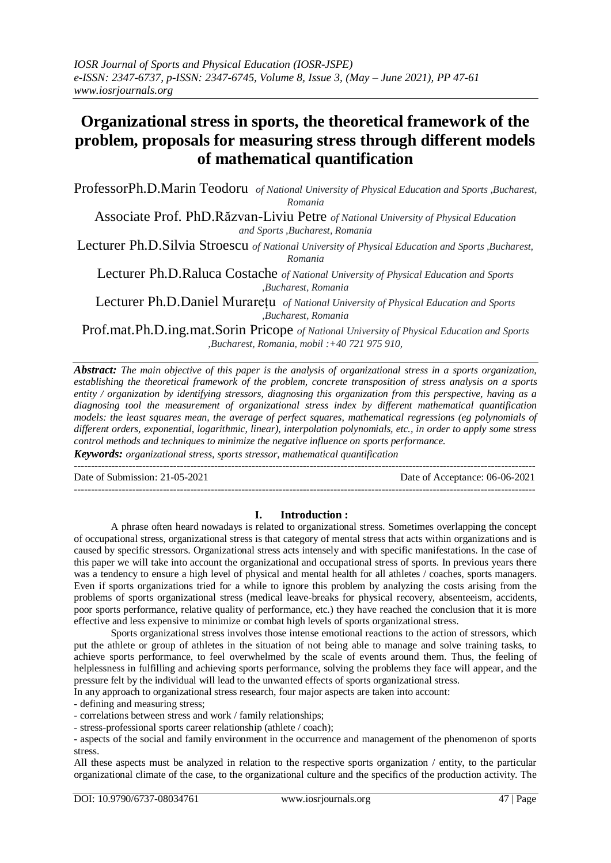# **Organizational stress in sports, the theoretical framework of the problem, proposals for measuring stress through different models of mathematical quantification**

ProfessorPh.D.Marin Teodoru *of National University of Physical Education and Sports ,Bucharest, Romania*

Associate Prof. PhD.Răzvan-Liviu Petre *of National University of Physical Education and Sports ,Bucharest, Romania*

Lecturer Ph.D.Silvia Stroescu *of National University of Physical Education and Sports ,Bucharest, Romania*

Lecturer Ph.D.Raluca Costache *of National University of Physical Education and Sports ,Bucharest, Romania*

Lecturer Ph.D.Daniel Murarețu *of National University of Physical Education and Sports ,Bucharest, Romania*

Prof.mat.Ph.D.ing.mat.Sorin Pricope *of National University of Physical Education and Sports ,Bucharest, Romania, mobil :+40 721 975 910,*

*Abstract: The main objective of this paper is the analysis of organizational stress in a sports organization, establishing the theoretical framework of the problem, concrete transposition of stress analysis on a sports entity / organization by identifying stressors, diagnosing this organization from this perspective, having as a diagnosing tool the measurement of organizational stress index by different mathematical quantification models: the least squares mean, the average of perfect squares, mathematical regressions (eg polynomials of different orders, exponential, logarithmic, linear), interpolation polynomials, etc., in order to apply some stress control methods and techniques to minimize the negative influence on sports performance.*

*Keywords: organizational stress, sports stressor, mathematical quantification* ---------------------------------------------------------------------------------------------------------------------------------------

Date of Submission: 21-05-2021 Date of Acceptance: 06-06-2021

---------------------------------------------------------------------------------------------------------------------------------------

### **I. Introduction :**

A phrase often heard nowadays is related to organizational stress. Sometimes overlapping the concept of occupational stress, organizational stress is that category of mental stress that acts within organizations and is caused by specific stressors. Organizational stress acts intensely and with specific manifestations. In the case of this paper we will take into account the organizational and occupational stress of sports. In previous years there was a tendency to ensure a high level of physical and mental health for all athletes / coaches, sports managers. Even if sports organizations tried for a while to ignore this problem by analyzing the costs arising from the problems of sports organizational stress (medical leave-breaks for physical recovery, absenteeism, accidents, poor sports performance, relative quality of performance, etc.) they have reached the conclusion that it is more effective and less expensive to minimize or combat high levels of sports organizational stress.

Sports organizational stress involves those intense emotional reactions to the action of stressors, which put the athlete or group of athletes in the situation of not being able to manage and solve training tasks, to achieve sports performance, to feel overwhelmed by the scale of events around them. Thus, the feeling of helplessness in fulfilling and achieving sports performance, solving the problems they face will appear, and the pressure felt by the individual will lead to the unwanted effects of sports organizational stress.

In any approach to organizational stress research, four major aspects are taken into account:

- defining and measuring stress;

- correlations between stress and work / family relationships;

- stress-professional sports career relationship (athlete / coach);

- aspects of the social and family environment in the occurrence and management of the phenomenon of sports stress.

All these aspects must be analyzed in relation to the respective sports organization / entity, to the particular organizational climate of the case, to the organizational culture and the specifics of the production activity. The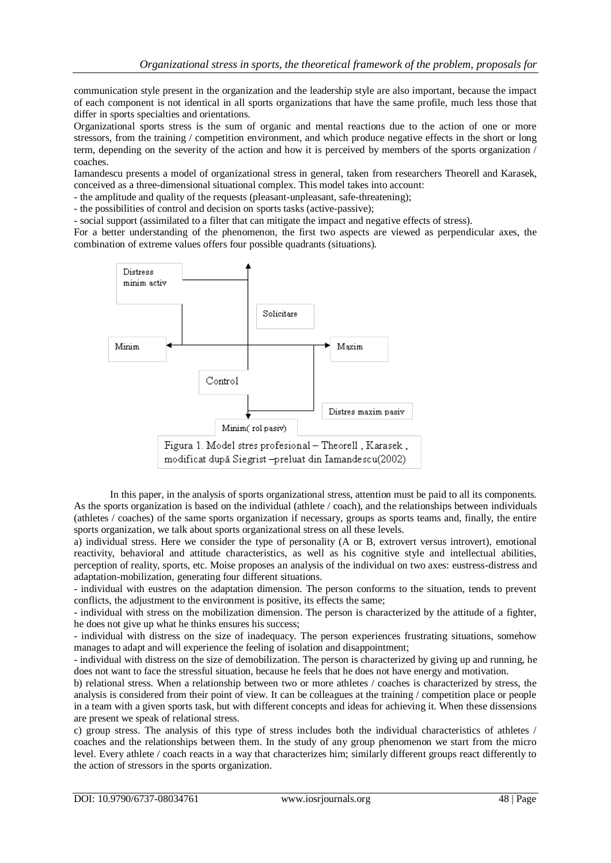communication style present in the organization and the leadership style are also important, because the impact of each component is not identical in all sports organizations that have the same profile, much less those that differ in sports specialties and orientations.

Organizational sports stress is the sum of organic and mental reactions due to the action of one or more stressors, from the training / competition environment, and which produce negative effects in the short or long term, depending on the severity of the action and how it is perceived by members of the sports organization / coaches.

Iamandescu presents a model of organizational stress in general, taken from researchers Theorell and Karasek, conceived as a three-dimensional situational complex. This model takes into account:

- the amplitude and quality of the requests (pleasant-unpleasant, safe-threatening);

- the possibilities of control and decision on sports tasks (active-passive);

- social support (assimilated to a filter that can mitigate the impact and negative effects of stress).

For a better understanding of the phenomenon, the first two aspects are viewed as perpendicular axes, the combination of extreme values offers four possible quadrants (situations).



Figura 1. Model stres profesional - Theorell, Karasek, modificat după Siegrist-preluat din Iamandescu(2002)

In this paper, in the analysis of sports organizational stress, attention must be paid to all its components. As the sports organization is based on the individual (athlete / coach), and the relationships between individuals (athletes / coaches) of the same sports organization if necessary, groups as sports teams and, finally, the entire sports organization, we talk about sports organizational stress on all these levels.

a) individual stress. Here we consider the type of personality (A or B, extrovert versus introvert), emotional reactivity, behavioral and attitude characteristics, as well as his cognitive style and intellectual abilities, perception of reality, sports, etc. Moise proposes an analysis of the individual on two axes: eustress-distress and adaptation-mobilization, generating four different situations.

- individual with eustres on the adaptation dimension. The person conforms to the situation, tends to prevent conflicts, the adjustment to the environment is positive, its effects the same;

- individual with stress on the mobilization dimension. The person is characterized by the attitude of a fighter, he does not give up what he thinks ensures his success;

- individual with distress on the size of inadequacy. The person experiences frustrating situations, somehow manages to adapt and will experience the feeling of isolation and disappointment;

- individual with distress on the size of demobilization. The person is characterized by giving up and running, he does not want to face the stressful situation, because he feels that he does not have energy and motivation.

b) relational stress. When a relationship between two or more athletes / coaches is characterized by stress, the analysis is considered from their point of view. It can be colleagues at the training / competition place or people in a team with a given sports task, but with different concepts and ideas for achieving it. When these dissensions are present we speak of relational stress.

c) group stress. The analysis of this type of stress includes both the individual characteristics of athletes / coaches and the relationships between them. In the study of any group phenomenon we start from the micro level. Every athlete / coach reacts in a way that characterizes him; similarly different groups react differently to the action of stressors in the sports organization.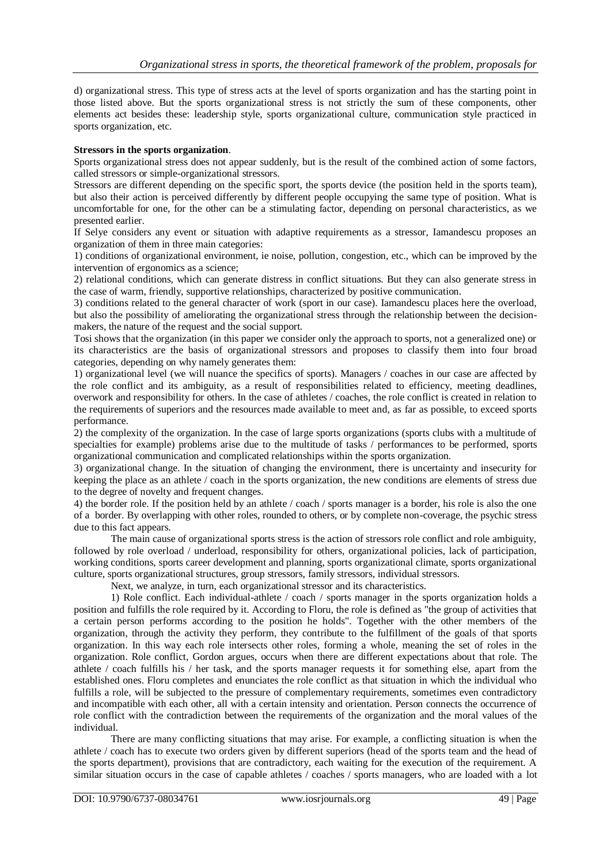d) organizational stress. This type of stress acts at the level of sports organization and has the starting point in those listed above. But the sports organizational stress is not strictly the sum of these components, other elements act besides these: leadership style, sports organizational culture, communication style practiced in sports organization, etc.

## **Stressors in the sports organization**.

Sports organizational stress does not appear suddenly, but is the result of the combined action of some factors, called stressors or simple-organizational stressors.

Stressors are different depending on the specific sport, the sports device (the position held in the sports team), but also their action is perceived differently by different people occupying the same type of position. What is uncomfortable for one, for the other can be a stimulating factor, depending on personal characteristics, as we presented earlier.

If Selye considers any event or situation with adaptive requirements as a stressor, Iamandescu proposes an organization of them in three main categories:

1) conditions of organizational environment, ie noise, pollution, congestion, etc., which can be improved by the intervention of ergonomics as a science;

2) relational conditions, which can generate distress in conflict situations. But they can also generate stress in the case of warm, friendly, supportive relationships, characterized by positive communication.

3) conditions related to the general character of work (sport in our case). Iamandescu places here the overload, but also the possibility of ameliorating the organizational stress through the relationship between the decisionmakers, the nature of the request and the social support.

Tosi shows that the organization (in this paper we consider only the approach to sports, not a generalized one) or its characteristics are the basis of organizational stressors and proposes to classify them into four broad categories, depending on why namely generates them:

1) organizational level (we will nuance the specifics of sports). Managers / coaches in our case are affected by the role conflict and its ambiguity, as a result of responsibilities related to efficiency, meeting deadlines, overwork and responsibility for others. In the case of athletes / coaches, the role conflict is created in relation to the requirements of superiors and the resources made available to meet and, as far as possible, to exceed sports performance.

2) the complexity of the organization. In the case of large sports organizations (sports clubs with a multitude of specialties for example) problems arise due to the multitude of tasks / performances to be performed, sports organizational communication and complicated relationships within the sports organization.

3) organizational change. In the situation of changing the environment, there is uncertainty and insecurity for keeping the place as an athlete / coach in the sports organization, the new conditions are elements of stress due to the degree of novelty and frequent changes.

4) the border role. If the position held by an athlete / coach / sports manager is a border, his role is also the one of a border. By overlapping with other roles, rounded to others, or by complete non-coverage, the psychic stress due to this fact appears.

The main cause of organizational sports stress is the action of stressors role conflict and role ambiguity, followed by role overload / underload, responsibility for others, organizational policies, lack of participation, working conditions, sports career development and planning, sports organizational climate, sports organizational culture, sports organizational structures, group stressors, family stressors, individual stressors.

Next, we analyze, in turn, each organizational stressor and its characteristics.

1) Role conflict. Each individual-athlete / coach / sports manager in the sports organization holds a position and fulfills the role required by it. According to Floru, the role is defined as "the group of activities that a certain person performs according to the position he holds". Together with the other members of the organization, through the activity they perform, they contribute to the fulfillment of the goals of that sports organization. In this way each role intersects other roles, forming a whole, meaning the set of roles in the organization. Role conflict, Gordon argues, occurs when there are different expectations about that role. The athlete / coach fulfills his / her task, and the sports manager requests it for something else, apart from the established ones. Floru completes and enunciates the role conflict as that situation in which the individual who fulfills a role, will be subjected to the pressure of complementary requirements, sometimes even contradictory and incompatible with each other, all with a certain intensity and orientation. Person connects the occurrence of role conflict with the contradiction between the requirements of the organization and the moral values of the individual.

There are many conflicting situations that may arise. For example, a conflicting situation is when the athlete / coach has to execute two orders given by different superiors (head of the sports team and the head of the sports department), provisions that are contradictory, each waiting for the execution of the requirement. A similar situation occurs in the case of capable athletes / coaches / sports managers, who are loaded with a lot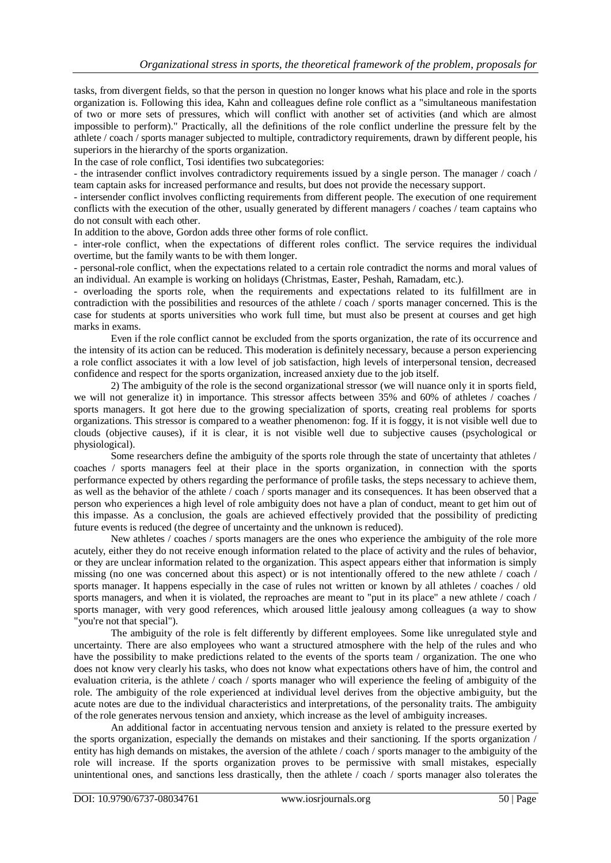tasks, from divergent fields, so that the person in question no longer knows what his place and role in the sports organization is. Following this idea, Kahn and colleagues define role conflict as a "simultaneous manifestation of two or more sets of pressures, which will conflict with another set of activities (and which are almost impossible to perform)." Practically, all the definitions of the role conflict underline the pressure felt by the athlete / coach / sports manager subjected to multiple, contradictory requirements, drawn by different people, his superiors in the hierarchy of the sports organization.

In the case of role conflict, Tosi identifies two subcategories:

- the intrasender conflict involves contradictory requirements issued by a single person. The manager / coach / team captain asks for increased performance and results, but does not provide the necessary support.

- intersender conflict involves conflicting requirements from different people. The execution of one requirement conflicts with the execution of the other, usually generated by different managers / coaches / team captains who do not consult with each other.

In addition to the above, Gordon adds three other forms of role conflict.

- inter-role conflict, when the expectations of different roles conflict. The service requires the individual overtime, but the family wants to be with them longer.

- personal-role conflict, when the expectations related to a certain role contradict the norms and moral values of an individual. An example is working on holidays (Christmas, Easter, Peshah, Ramadam, etc.).

- overloading the sports role, when the requirements and expectations related to its fulfillment are in contradiction with the possibilities and resources of the athlete / coach / sports manager concerned. This is the case for students at sports universities who work full time, but must also be present at courses and get high marks in exams.

Even if the role conflict cannot be excluded from the sports organization, the rate of its occurrence and the intensity of its action can be reduced. This moderation is definitely necessary, because a person experiencing a role conflict associates it with a low level of job satisfaction, high levels of interpersonal tension, decreased confidence and respect for the sports organization, increased anxiety due to the job itself.

2) The ambiguity of the role is the second organizational stressor (we will nuance only it in sports field, we will not generalize it) in importance. This stressor affects between 35% and 60% of athletes  $\ell$  coaches / sports managers. It got here due to the growing specialization of sports, creating real problems for sports organizations. This stressor is compared to a weather phenomenon: fog. If it is foggy, it is not visible well due to clouds (objective causes), if it is clear, it is not visible well due to subjective causes (psychological or physiological).

Some researchers define the ambiguity of the sports role through the state of uncertainty that athletes / coaches / sports managers feel at their place in the sports organization, in connection with the sports performance expected by others regarding the performance of profile tasks, the steps necessary to achieve them, as well as the behavior of the athlete / coach / sports manager and its consequences. It has been observed that a person who experiences a high level of role ambiguity does not have a plan of conduct, meant to get him out of this impasse. As a conclusion, the goals are achieved effectively provided that the possibility of predicting future events is reduced (the degree of uncertainty and the unknown is reduced).

New athletes / coaches / sports managers are the ones who experience the ambiguity of the role more acutely, either they do not receive enough information related to the place of activity and the rules of behavior, or they are unclear information related to the organization. This aspect appears either that information is simply missing (no one was concerned about this aspect) or is not intentionally offered to the new athlete / coach / sports manager. It happens especially in the case of rules not written or known by all athletes / coaches / old sports managers, and when it is violated, the reproaches are meant to "put in its place" a new athlete / coach / sports manager, with very good references, which aroused little jealousy among colleagues (a way to show "you're not that special").

The ambiguity of the role is felt differently by different employees. Some like unregulated style and uncertainty. There are also employees who want a structured atmosphere with the help of the rules and who have the possibility to make predictions related to the events of the sports team / organization. The one who does not know very clearly his tasks, who does not know what expectations others have of him, the control and evaluation criteria, is the athlete / coach / sports manager who will experience the feeling of ambiguity of the role. The ambiguity of the role experienced at individual level derives from the objective ambiguity, but the acute notes are due to the individual characteristics and interpretations, of the personality traits. The ambiguity of the role generates nervous tension and anxiety, which increase as the level of ambiguity increases.

An additional factor in accentuating nervous tension and anxiety is related to the pressure exerted by the sports organization, especially the demands on mistakes and their sanctioning. If the sports organization / entity has high demands on mistakes, the aversion of the athlete / coach / sports manager to the ambiguity of the role will increase. If the sports organization proves to be permissive with small mistakes, especially unintentional ones, and sanctions less drastically, then the athlete / coach / sports manager also tolerates the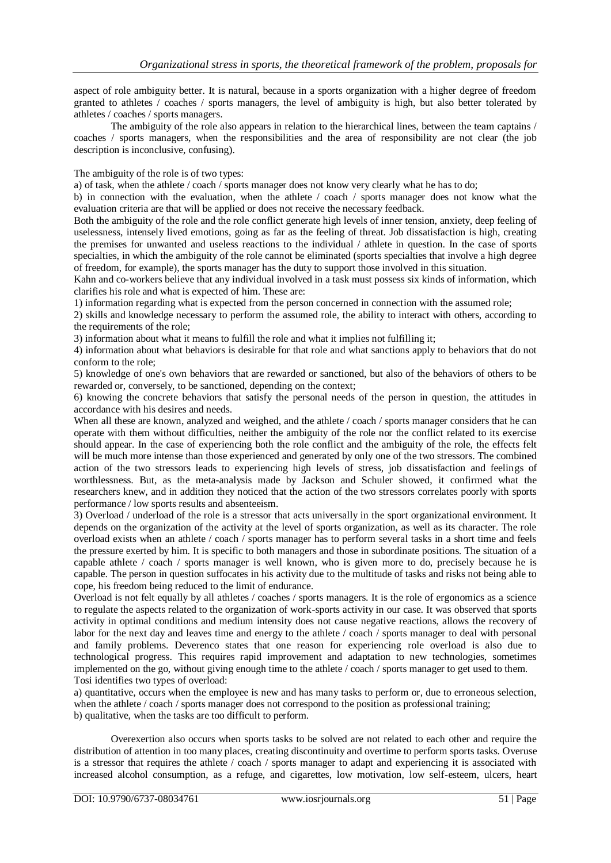aspect of role ambiguity better. It is natural, because in a sports organization with a higher degree of freedom granted to athletes / coaches / sports managers, the level of ambiguity is high, but also better tolerated by athletes / coaches / sports managers.

The ambiguity of the role also appears in relation to the hierarchical lines, between the team captains / coaches / sports managers, when the responsibilities and the area of responsibility are not clear (the job description is inconclusive, confusing).

The ambiguity of the role is of two types:

a) of task, when the athlete / coach / sports manager does not know very clearly what he has to do;

b) in connection with the evaluation, when the athlete / coach / sports manager does not know what the evaluation criteria are that will be applied or does not receive the necessary feedback.

Both the ambiguity of the role and the role conflict generate high levels of inner tension, anxiety, deep feeling of uselessness, intensely lived emotions, going as far as the feeling of threat. Job dissatisfaction is high, creating the premises for unwanted and useless reactions to the individual / athlete in question. In the case of sports specialties, in which the ambiguity of the role cannot be eliminated (sports specialties that involve a high degree of freedom, for example), the sports manager has the duty to support those involved in this situation.

Kahn and co-workers believe that any individual involved in a task must possess six kinds of information, which clarifies his role and what is expected of him. These are:

1) information regarding what is expected from the person concerned in connection with the assumed role;

2) skills and knowledge necessary to perform the assumed role, the ability to interact with others, according to the requirements of the role;

3) information about what it means to fulfill the role and what it implies not fulfilling it;

4) information about what behaviors is desirable for that role and what sanctions apply to behaviors that do not conform to the role;

5) knowledge of one's own behaviors that are rewarded or sanctioned, but also of the behaviors of others to be rewarded or, conversely, to be sanctioned, depending on the context;

6) knowing the concrete behaviors that satisfy the personal needs of the person in question, the attitudes in accordance with his desires and needs.

When all these are known, analyzed and weighed, and the athlete / coach / sports manager considers that he can operate with them without difficulties, neither the ambiguity of the role nor the conflict related to its exercise should appear. In the case of experiencing both the role conflict and the ambiguity of the role, the effects felt will be much more intense than those experienced and generated by only one of the two stressors. The combined action of the two stressors leads to experiencing high levels of stress, job dissatisfaction and feelings of worthlessness. But, as the meta-analysis made by Jackson and Schuler showed, it confirmed what the researchers knew, and in addition they noticed that the action of the two stressors correlates poorly with sports performance / low sports results and absenteeism.

3) Overload / underload of the role is a stressor that acts universally in the sport organizational environment. It depends on the organization of the activity at the level of sports organization, as well as its character. The role overload exists when an athlete / coach / sports manager has to perform several tasks in a short time and feels the pressure exerted by him. It is specific to both managers and those in subordinate positions. The situation of a capable athlete / coach / sports manager is well known, who is given more to do, precisely because he is capable. The person in question suffocates in his activity due to the multitude of tasks and risks not being able to cope, his freedom being reduced to the limit of endurance.

Overload is not felt equally by all athletes / coaches / sports managers. It is the role of ergonomics as a science to regulate the aspects related to the organization of work-sports activity in our case. It was observed that sports activity in optimal conditions and medium intensity does not cause negative reactions, allows the recovery of labor for the next day and leaves time and energy to the athlete / coach / sports manager to deal with personal and family problems. Deverenco states that one reason for experiencing role overload is also due to technological progress. This requires rapid improvement and adaptation to new technologies, sometimes implemented on the go, without giving enough time to the athlete / coach / sports manager to get used to them. Tosi identifies two types of overload:

a) quantitative, occurs when the employee is new and has many tasks to perform or, due to erroneous selection, when the athlete / coach / sports manager does not correspond to the position as professional training; b) qualitative, when the tasks are too difficult to perform.

Overexertion also occurs when sports tasks to be solved are not related to each other and require the distribution of attention in too many places, creating discontinuity and overtime to perform sports tasks. Overuse is a stressor that requires the athlete / coach / sports manager to adapt and experiencing it is associated with increased alcohol consumption, as a refuge, and cigarettes, low motivation, low self-esteem, ulcers, heart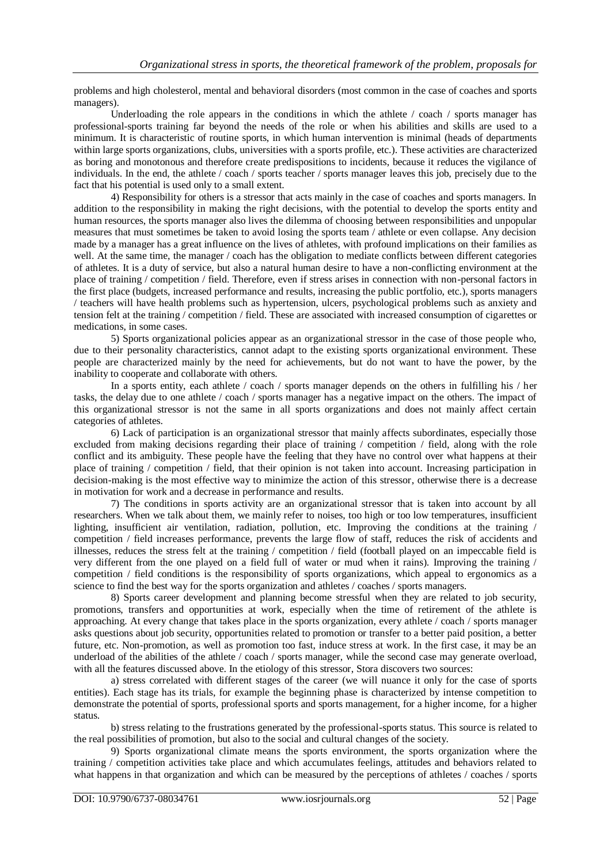problems and high cholesterol, mental and behavioral disorders (most common in the case of coaches and sports managers).

Underloading the role appears in the conditions in which the athlete / coach / sports manager has professional-sports training far beyond the needs of the role or when his abilities and skills are used to a minimum. It is characteristic of routine sports, in which human intervention is minimal (heads of departments within large sports organizations, clubs, universities with a sports profile, etc.). These activities are characterized as boring and monotonous and therefore create predispositions to incidents, because it reduces the vigilance of individuals. In the end, the athlete / coach / sports teacher / sports manager leaves this job, precisely due to the fact that his potential is used only to a small extent.

4) Responsibility for others is a stressor that acts mainly in the case of coaches and sports managers. In addition to the responsibility in making the right decisions, with the potential to develop the sports entity and human resources, the sports manager also lives the dilemma of choosing between responsibilities and unpopular measures that must sometimes be taken to avoid losing the sports team / athlete or even collapse. Any decision made by a manager has a great influence on the lives of athletes, with profound implications on their families as well. At the same time, the manager / coach has the obligation to mediate conflicts between different categories of athletes. It is a duty of service, but also a natural human desire to have a non-conflicting environment at the place of training / competition / field. Therefore, even if stress arises in connection with non-personal factors in the first place (budgets, increased performance and results, increasing the public portfolio, etc.), sports managers / teachers will have health problems such as hypertension, ulcers, psychological problems such as anxiety and tension felt at the training / competition / field. These are associated with increased consumption of cigarettes or medications, in some cases.

5) Sports organizational policies appear as an organizational stressor in the case of those people who, due to their personality characteristics, cannot adapt to the existing sports organizational environment. These people are characterized mainly by the need for achievements, but do not want to have the power, by the inability to cooperate and collaborate with others.

In a sports entity, each athlete / coach / sports manager depends on the others in fulfilling his / her tasks, the delay due to one athlete / coach / sports manager has a negative impact on the others. The impact of this organizational stressor is not the same in all sports organizations and does not mainly affect certain categories of athletes.

6) Lack of participation is an organizational stressor that mainly affects subordinates, especially those excluded from making decisions regarding their place of training / competition / field, along with the role conflict and its ambiguity. These people have the feeling that they have no control over what happens at their place of training / competition / field, that their opinion is not taken into account. Increasing participation in decision-making is the most effective way to minimize the action of this stressor, otherwise there is a decrease in motivation for work and a decrease in performance and results.

7) The conditions in sports activity are an organizational stressor that is taken into account by all researchers. When we talk about them, we mainly refer to noises, too high or too low temperatures, insufficient lighting, insufficient air ventilation, radiation, pollution, etc. Improving the conditions at the training / competition / field increases performance, prevents the large flow of staff, reduces the risk of accidents and illnesses, reduces the stress felt at the training / competition / field (football played on an impeccable field is very different from the one played on a field full of water or mud when it rains). Improving the training / competition / field conditions is the responsibility of sports organizations, which appeal to ergonomics as a science to find the best way for the sports organization and athletes / coaches / sports managers.

8) Sports career development and planning become stressful when they are related to job security, promotions, transfers and opportunities at work, especially when the time of retirement of the athlete is approaching. At every change that takes place in the sports organization, every athlete / coach / sports manager asks questions about job security, opportunities related to promotion or transfer to a better paid position, a better future, etc. Non-promotion, as well as promotion too fast, induce stress at work. In the first case, it may be an underload of the abilities of the athlete / coach / sports manager, while the second case may generate overload, with all the features discussed above. In the etiology of this stressor, Stora discovers two sources:

a) stress correlated with different stages of the career (we will nuance it only for the case of sports entities). Each stage has its trials, for example the beginning phase is characterized by intense competition to demonstrate the potential of sports, professional sports and sports management, for a higher income, for a higher status.

b) stress relating to the frustrations generated by the professional-sports status. This source is related to the real possibilities of promotion, but also to the social and cultural changes of the society.

9) Sports organizational climate means the sports environment, the sports organization where the training / competition activities take place and which accumulates feelings, attitudes and behaviors related to what happens in that organization and which can be measured by the perceptions of athletes / coaches / sports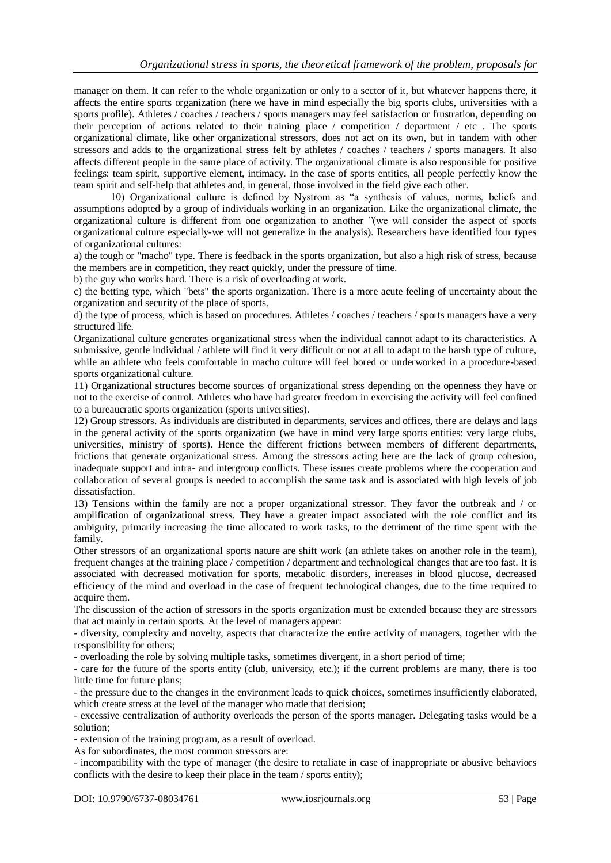manager on them. It can refer to the whole organization or only to a sector of it, but whatever happens there, it affects the entire sports organization (here we have in mind especially the big sports clubs, universities with a sports profile). Athletes / coaches / teachers / sports managers may feel satisfaction or frustration, depending on their perception of actions related to their training place / competition / department / etc . The sports organizational climate, like other organizational stressors, does not act on its own, but in tandem with other stressors and adds to the organizational stress felt by athletes / coaches / teachers / sports managers. It also affects different people in the same place of activity. The organizational climate is also responsible for positive feelings: team spirit, supportive element, intimacy. In the case of sports entities, all people perfectly know the team spirit and self-help that athletes and, in general, those involved in the field give each other.

10) Organizational culture is defined by Nystrom as "a synthesis of values, norms, beliefs and assumptions adopted by a group of individuals working in an organization. Like the organizational climate, the organizational culture is different from one organization to another "(we will consider the aspect of sports organizational culture especially-we will not generalize in the analysis). Researchers have identified four types of organizational cultures:

a) the tough or "macho" type. There is feedback in the sports organization, but also a high risk of stress, because the members are in competition, they react quickly, under the pressure of time.

b) the guy who works hard. There is a risk of overloading at work.

c) the betting type, which "bets" the sports organization. There is a more acute feeling of uncertainty about the organization and security of the place of sports.

d) the type of process, which is based on procedures. Athletes / coaches / teachers / sports managers have a very structured life.

Organizational culture generates organizational stress when the individual cannot adapt to its characteristics. A submissive, gentle individual / athlete will find it very difficult or not at all to adapt to the harsh type of culture, while an athlete who feels comfortable in macho culture will feel bored or underworked in a procedure-based sports organizational culture.

11) Organizational structures become sources of organizational stress depending on the openness they have or not to the exercise of control. Athletes who have had greater freedom in exercising the activity will feel confined to a bureaucratic sports organization (sports universities).

12) Group stressors. As individuals are distributed in departments, services and offices, there are delays and lags in the general activity of the sports organization (we have in mind very large sports entities: very large clubs, universities, ministry of sports). Hence the different frictions between members of different departments, frictions that generate organizational stress. Among the stressors acting here are the lack of group cohesion, inadequate support and intra- and intergroup conflicts. These issues create problems where the cooperation and collaboration of several groups is needed to accomplish the same task and is associated with high levels of job dissatisfaction.

13) Tensions within the family are not a proper organizational stressor. They favor the outbreak and / or amplification of organizational stress. They have a greater impact associated with the role conflict and its ambiguity, primarily increasing the time allocated to work tasks, to the detriment of the time spent with the family.

Other stressors of an organizational sports nature are shift work (an athlete takes on another role in the team), frequent changes at the training place / competition / department and technological changes that are too fast. It is associated with decreased motivation for sports, metabolic disorders, increases in blood glucose, decreased efficiency of the mind and overload in the case of frequent technological changes, due to the time required to acquire them.

The discussion of the action of stressors in the sports organization must be extended because they are stressors that act mainly in certain sports. At the level of managers appear:

- diversity, complexity and novelty, aspects that characterize the entire activity of managers, together with the responsibility for others;

- overloading the role by solving multiple tasks, sometimes divergent, in a short period of time;

- care for the future of the sports entity (club, university, etc.); if the current problems are many, there is too little time for future plans;

- the pressure due to the changes in the environment leads to quick choices, sometimes insufficiently elaborated, which create stress at the level of the manager who made that decision:

- excessive centralization of authority overloads the person of the sports manager. Delegating tasks would be a solution;

- extension of the training program, as a result of overload.

As for subordinates, the most common stressors are:

- incompatibility with the type of manager (the desire to retaliate in case of inappropriate or abusive behaviors conflicts with the desire to keep their place in the team / sports entity);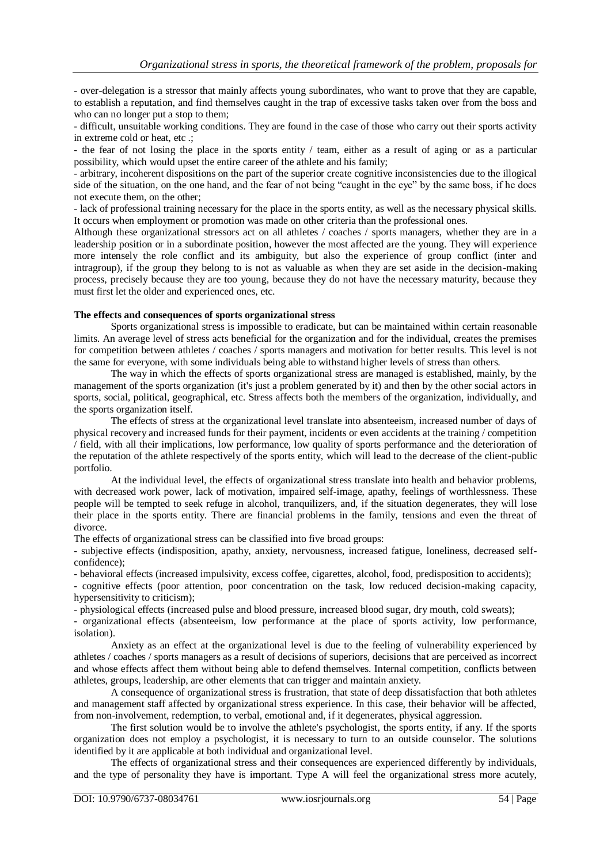- over-delegation is a stressor that mainly affects young subordinates, who want to prove that they are capable, to establish a reputation, and find themselves caught in the trap of excessive tasks taken over from the boss and who can no longer put a stop to them;

- difficult, unsuitable working conditions. They are found in the case of those who carry out their sports activity in extreme cold or heat, etc .;

- the fear of not losing the place in the sports entity / team, either as a result of aging or as a particular possibility, which would upset the entire career of the athlete and his family;

- arbitrary, incoherent dispositions on the part of the superior create cognitive inconsistencies due to the illogical side of the situation, on the one hand, and the fear of not being "caught in the eye" by the same boss, if he does not execute them, on the other;

- lack of professional training necessary for the place in the sports entity, as well as the necessary physical skills. It occurs when employment or promotion was made on other criteria than the professional ones.

Although these organizational stressors act on all athletes / coaches / sports managers, whether they are in a leadership position or in a subordinate position, however the most affected are the young. They will experience more intensely the role conflict and its ambiguity, but also the experience of group conflict (inter and intragroup), if the group they belong to is not as valuable as when they are set aside in the decision-making process, precisely because they are too young, because they do not have the necessary maturity, because they must first let the older and experienced ones, etc.

# **The effects and consequences of sports organizational stress**

Sports organizational stress is impossible to eradicate, but can be maintained within certain reasonable limits. An average level of stress acts beneficial for the organization and for the individual, creates the premises for competition between athletes / coaches / sports managers and motivation for better results. This level is not the same for everyone, with some individuals being able to withstand higher levels of stress than others.

The way in which the effects of sports organizational stress are managed is established, mainly, by the management of the sports organization (it's just a problem generated by it) and then by the other social actors in sports, social, political, geographical, etc. Stress affects both the members of the organization, individually, and the sports organization itself.

The effects of stress at the organizational level translate into absenteeism, increased number of days of physical recovery and increased funds for their payment, incidents or even accidents at the training / competition / field, with all their implications, low performance, low quality of sports performance and the deterioration of the reputation of the athlete respectively of the sports entity, which will lead to the decrease of the client-public portfolio.

At the individual level, the effects of organizational stress translate into health and behavior problems, with decreased work power, lack of motivation, impaired self-image, apathy, feelings of worthlessness. These people will be tempted to seek refuge in alcohol, tranquilizers, and, if the situation degenerates, they will lose their place in the sports entity. There are financial problems in the family, tensions and even the threat of divorce.

The effects of organizational stress can be classified into five broad groups:

- subjective effects (indisposition, apathy, anxiety, nervousness, increased fatigue, loneliness, decreased selfconfidence);

- behavioral effects (increased impulsivity, excess coffee, cigarettes, alcohol, food, predisposition to accidents);

- cognitive effects (poor attention, poor concentration on the task, low reduced decision-making capacity, hypersensitivity to criticism);

- physiological effects (increased pulse and blood pressure, increased blood sugar, dry mouth, cold sweats);

- organizational effects (absenteeism, low performance at the place of sports activity, low performance, isolation).

Anxiety as an effect at the organizational level is due to the feeling of vulnerability experienced by athletes / coaches / sports managers as a result of decisions of superiors, decisions that are perceived as incorrect and whose effects affect them without being able to defend themselves. Internal competition, conflicts between athletes, groups, leadership, are other elements that can trigger and maintain anxiety.

A consequence of organizational stress is frustration, that state of deep dissatisfaction that both athletes and management staff affected by organizational stress experience. In this case, their behavior will be affected, from non-involvement, redemption, to verbal, emotional and, if it degenerates, physical aggression.

The first solution would be to involve the athlete's psychologist, the sports entity, if any. If the sports organization does not employ a psychologist, it is necessary to turn to an outside counselor. The solutions identified by it are applicable at both individual and organizational level.

The effects of organizational stress and their consequences are experienced differently by individuals, and the type of personality they have is important. Type A will feel the organizational stress more acutely,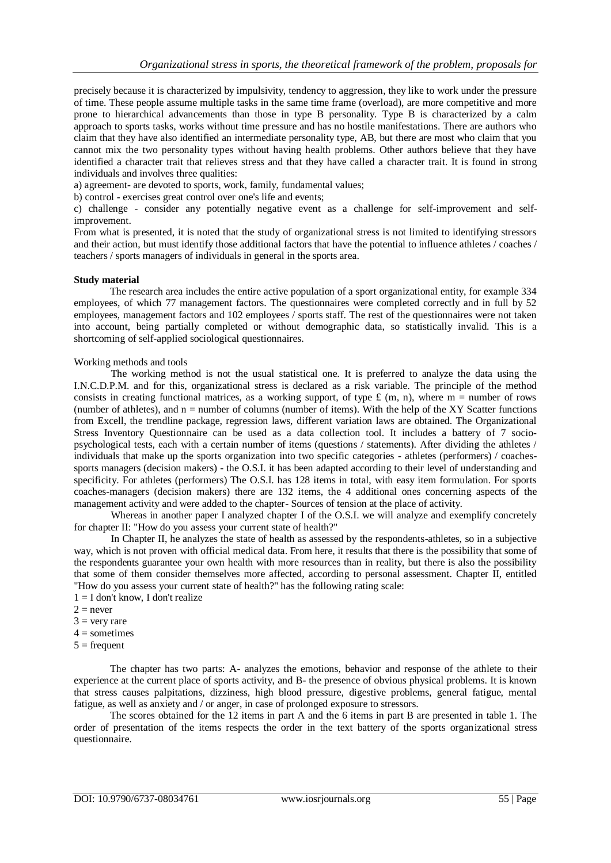precisely because it is characterized by impulsivity, tendency to aggression, they like to work under the pressure of time. These people assume multiple tasks in the same time frame (overload), are more competitive and more prone to hierarchical advancements than those in type B personality. Type B is characterized by a calm approach to sports tasks, works without time pressure and has no hostile manifestations. There are authors who claim that they have also identified an intermediate personality type, AB, but there are most who claim that you cannot mix the two personality types without having health problems. Other authors believe that they have identified a character trait that relieves stress and that they have called a character trait. It is found in strong individuals and involves three qualities:

a) agreement- are devoted to sports, work, family, fundamental values;

b) control - exercises great control over one's life and events;

c) challenge - consider any potentially negative event as a challenge for self-improvement and selfimprovement.

From what is presented, it is noted that the study of organizational stress is not limited to identifying stressors and their action, but must identify those additional factors that have the potential to influence athletes / coaches / teachers / sports managers of individuals in general in the sports area.

#### **Study material**

The research area includes the entire active population of a sport organizational entity, for example 334 employees, of which 77 management factors. The questionnaires were completed correctly and in full by 52 employees, management factors and 102 employees / sports staff. The rest of the questionnaires were not taken into account, being partially completed or without demographic data, so statistically invalid. This is a shortcoming of self-applied sociological questionnaires.

### Working methods and tools

The working method is not the usual statistical one. It is preferred to analyze the data using the I.N.C.D.P.M. and for this, organizational stress is declared as a risk variable. The principle of the method consists in creating functional matrices, as a working support, of type  $f(m, n)$ , where m = number of rows (number of athletes), and  $n =$  number of columns (number of items). With the help of the XY Scatter functions from Excell, the trendline package, regression laws, different variation laws are obtained. The Organizational Stress Inventory Questionnaire can be used as a data collection tool. It includes a battery of 7 sociopsychological tests, each with a certain number of items (questions / statements). After dividing the athletes / individuals that make up the sports organization into two specific categories - athletes (performers) / coachessports managers (decision makers) - the O.S.I. it has been adapted according to their level of understanding and specificity. For athletes (performers) The O.S.I. has 128 items in total, with easy item formulation. For sports coaches-managers (decision makers) there are 132 items, the 4 additional ones concerning aspects of the management activity and were added to the chapter- Sources of tension at the place of activity.

Whereas in another paper I analyzed chapter I of the O.S.I. we will analyze and exemplify concretely for chapter II: "How do you assess your current state of health?"

In Chapter II, he analyzes the state of health as assessed by the respondents-athletes, so in a subjective way, which is not proven with official medical data. From here, it results that there is the possibility that some of the respondents guarantee your own health with more resources than in reality, but there is also the possibility that some of them consider themselves more affected, according to personal assessment. Chapter II, entitled "How do you assess your current state of health?" has the following rating scale:

- $1 = I$  don't know. I don't realize
- $2 =$  never
- $3 =$  very rare
- $4 =$ sometimes
- $5 =$  frequent

The chapter has two parts: A- analyzes the emotions, behavior and response of the athlete to their experience at the current place of sports activity, and B- the presence of obvious physical problems. It is known that stress causes palpitations, dizziness, high blood pressure, digestive problems, general fatigue, mental fatigue, as well as anxiety and / or anger, in case of prolonged exposure to stressors.

The scores obtained for the 12 items in part A and the 6 items in part B are presented in table 1. The order of presentation of the items respects the order in the text battery of the sports organizational stress questionnaire.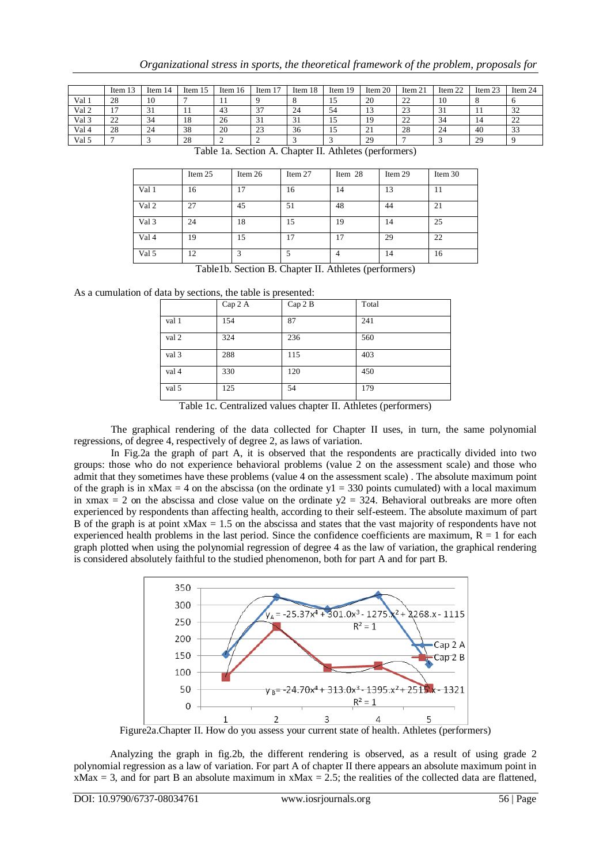|       | Item 13             | Item $14$ | Item 15 | Item $16$ | 1 <sub>7</sub><br>Item 1 | Item 18 | Item $19$ | Item $20$       | Item 21             | Item 22 | Item 23 | Item 24             |
|-------|---------------------|-----------|---------|-----------|--------------------------|---------|-----------|-----------------|---------------------|---------|---------|---------------------|
| Val 1 | 28                  | 10        |         | . .       |                          |         |           | 20              | $\mathcal{D}$<br>∠∠ | 10      |         |                     |
| Val 2 | −                   | ◡         |         | 43        | 37<br>ر ر                | 24      | 54        | IJ              | $\cap$<br>ر ے       | $\sim$  |         | 32                  |
| Val 3 | $\mathcal{L}$<br>∠∠ | 34        | 18      | 26        | 31                       | 31      |           | 19              | $\mathcal{D}$<br>∠∠ | -34     | 14      | $\mathcal{D}$<br>∠∠ |
| Val 4 | 28                  | 24        | 38      | 20        | 23                       | 36      | -         | $^{\sim}$<br>∠⊥ | 28                  | 24      | 40      | 33                  |
| Val 5 |                     |           | 28      |           |                          |         |           | 29              |                     |         | 29      |                     |

|       | Item 25 | Item 26 | Item 27 | Item 28 | Item 29 | Item 30 |
|-------|---------|---------|---------|---------|---------|---------|
| Val 1 | 16      | ۱7      | 16      | 14      | 13      | 11      |
| Val 2 | 27      | 45      | 51      | 48      | 44      | 21      |
| Val 3 | 24      | 18      | 15      | 19      | 14      | 25      |
| Val 4 | 19      | 15      | 17      | 17      | 29      | 22      |
| Val 5 | 12      | 3       |         | 4       | 14      | 16      |

Table 1a. Section A. Chapter II. Athletes (performers)

Table1b. Section B. Chapter II. Athletes (performers)

As a cumulation of data by sections, the table is presented:

| ╯     | л.      |        |       |
|-------|---------|--------|-------|
|       | Cap 2 A | Cap 2B | Total |
| val 1 | 154     | 87     | 241   |
| val 2 | 324     | 236    | 560   |
| val 3 | 288     | 115    | 403   |
| val 4 | 330     | 120    | 450   |
| val 5 | 125     | 54     | 179   |

Table 1c. Centralized values chapter II. Athletes (performers)

The graphical rendering of the data collected for Chapter II uses, in turn, the same polynomial regressions, of degree 4, respectively of degree 2, as laws of variation.

In Fig.2a the graph of part A, it is observed that the respondents are practically divided into two groups: those who do not experience behavioral problems (value 2 on the assessment scale) and those who admit that they sometimes have these problems (value 4 on the assessment scale) . The absolute maximum point of the graph is in xMax = 4 on the abscissa (on the ordinate  $y_1$  = 330 points cumulated) with a local maximum in xmax = 2 on the abscissa and close value on the ordinate  $y^2 = 324$ . Behavioral outbreaks are more often experienced by respondents than affecting health, according to their self-esteem. The absolute maximum of part B of the graph is at point  $xMax = 1.5$  on the abscissa and states that the vast majority of respondents have not experienced health problems in the last period. Since the confidence coefficients are maximum,  $R = 1$  for each graph plotted when using the polynomial regression of degree 4 as the law of variation, the graphical rendering is considered absolutely faithful to the studied phenomenon, both for part A and for part B.



Figure2a.Chapter II. How do you assess your current state of health. Athletes (performers)

Analyzing the graph in fig.2b, the different rendering is observed, as a result of using grade 2 polynomial regression as a law of variation. For part A of chapter II there appears an absolute maximum point in  $xMax = 3$ , and for part B an absolute maximum in  $xMax = 2.5$ ; the realities of the collected data are flattened,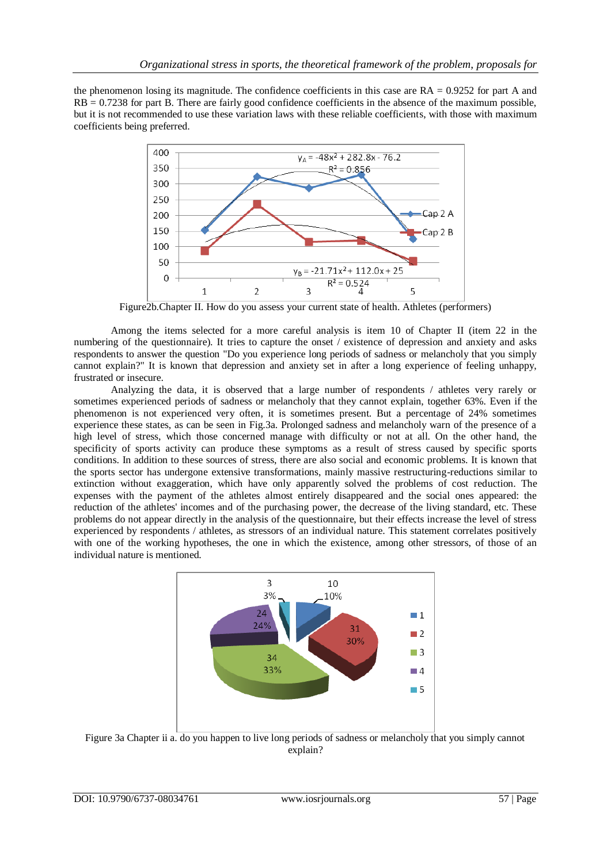the phenomenon losing its magnitude. The confidence coefficients in this case are  $RA = 0.9252$  for part A and RB = 0.7238 for part B. There are fairly good confidence coefficients in the absence of the maximum possible, but it is not recommended to use these variation laws with these reliable coefficients, with those with maximum coefficients being preferred.



Figure2b.Chapter II. How do you assess your current state of health. Athletes (performers)

Among the items selected for a more careful analysis is item 10 of Chapter II (item 22 in the numbering of the questionnaire). It tries to capture the onset / existence of depression and anxiety and asks respondents to answer the question "Do you experience long periods of sadness or melancholy that you simply cannot explain?" It is known that depression and anxiety set in after a long experience of feeling unhappy, frustrated or insecure.

Analyzing the data, it is observed that a large number of respondents / athletes very rarely or sometimes experienced periods of sadness or melancholy that they cannot explain, together 63%. Even if the phenomenon is not experienced very often, it is sometimes present. But a percentage of 24% sometimes experience these states, as can be seen in Fig.3a. Prolonged sadness and melancholy warn of the presence of a high level of stress, which those concerned manage with difficulty or not at all. On the other hand, the specificity of sports activity can produce these symptoms as a result of stress caused by specific sports conditions. In addition to these sources of stress, there are also social and economic problems. It is known that the sports sector has undergone extensive transformations, mainly massive restructuring-reductions similar to extinction without exaggeration, which have only apparently solved the problems of cost reduction. The expenses with the payment of the athletes almost entirely disappeared and the social ones appeared: the reduction of the athletes' incomes and of the purchasing power, the decrease of the living standard, etc. These problems do not appear directly in the analysis of the questionnaire, but their effects increase the level of stress experienced by respondents / athletes, as stressors of an individual nature. This statement correlates positively with one of the working hypotheses, the one in which the existence, among other stressors, of those of an individual nature is mentioned.



Figure 3a Chapter ii a. do you happen to live long periods of sadness or melancholy that you simply cannot explain?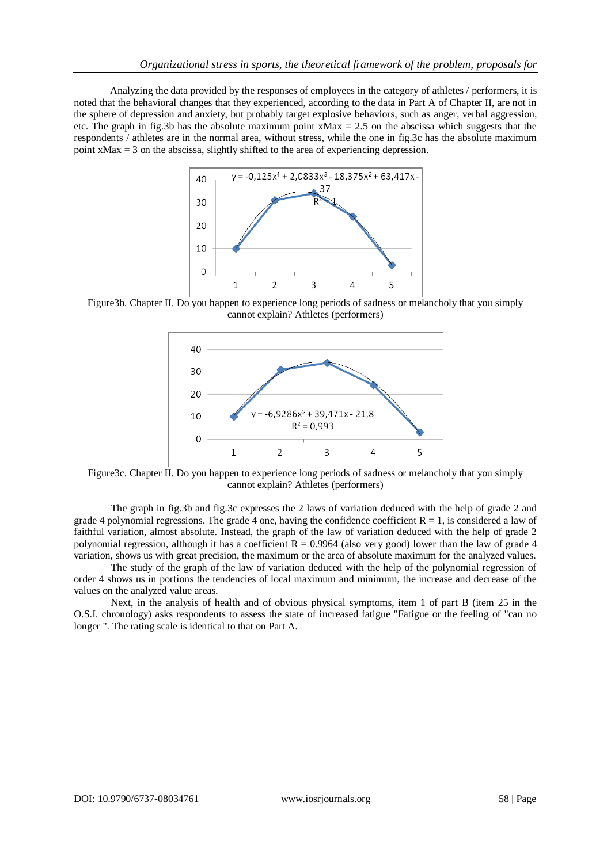Analyzing the data provided by the responses of employees in the category of athletes / performers, it is noted that the behavioral changes that they experienced, according to the data in Part A of Chapter II, are not in the sphere of depression and anxiety, but probably target explosive behaviors, such as anger, verbal aggression, etc. The graph in fig.3b has the absolute maximum point  $xMax = 2.5$  on the abscissa which suggests that the respondents / athletes are in the normal area, without stress, while the one in fig.3c has the absolute maximum point  $xMax = 3$  on the abscissa, slightly shifted to the area of experiencing depression.



Figure3b. Chapter II. Do you happen to experience long periods of sadness or melancholy that you simply cannot explain? Athletes (performers)



Figure3c. Chapter II. Do you happen to experience long periods of sadness or melancholy that you simply cannot explain? Athletes (performers)

The graph in fig.3b and fig.3c expresses the 2 laws of variation deduced with the help of grade 2 and grade 4 polynomial regressions. The grade 4 one, having the confidence coefficient  $R = 1$ , is considered a law of faithful variation, almost absolute. Instead, the graph of the law of variation deduced with the help of grade 2 polynomial regression, although it has a coefficient  $R = 0.9964$  (also very good) lower than the law of grade 4 variation, shows us with great precision, the maximum or the area of absolute maximum for the analyzed values.

The study of the graph of the law of variation deduced with the help of the polynomial regression of order 4 shows us in portions the tendencies of local maximum and minimum, the increase and decrease of the values on the analyzed value areas.

Next, in the analysis of health and of obvious physical symptoms, item 1 of part B (item 25 in the O.S.I. chronology) asks respondents to assess the state of increased fatigue "Fatigue or the feeling of "can no longer ". The rating scale is identical to that on Part A.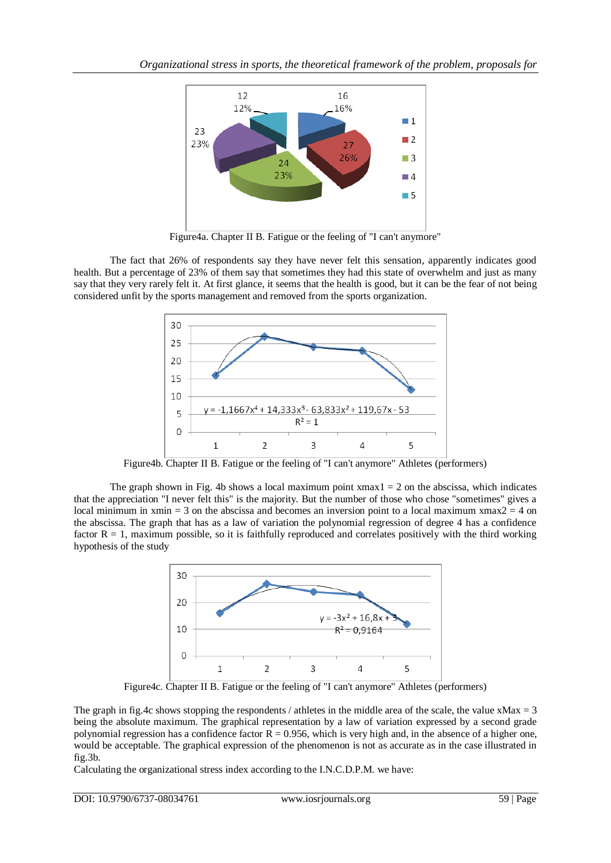

Figure4a. Chapter II B. Fatigue or the feeling of "I can't anymore"

The fact that 26% of respondents say they have never felt this sensation, apparently indicates good health. But a percentage of 23% of them say that sometimes they had this state of overwhelm and just as many say that they very rarely felt it. At first glance, it seems that the health is good, but it can be the fear of not being considered unfit by the sports management and removed from the sports organization.



Figure4b. Chapter II B. Fatigue or the feeling of "I can't anymore" Athletes (performers)

The graph shown in Fig. 4b shows a local maximum point  $xmax1 = 2$  on the abscissa, which indicates that the appreciation "I never felt this" is the majority. But the number of those who chose "sometimes" gives a local minimum in xmin = 3 on the abscissa and becomes an inversion point to a local maximum xmax $2 = 4$  on the abscissa. The graph that has as a law of variation the polynomial regression of degree 4 has a confidence factor  $R = 1$ , maximum possible, so it is faithfully reproduced and correlates positively with the third working hypothesis of the study



Figure4c. Chapter II B. Fatigue or the feeling of "I can't anymore" Athletes (performers)

The graph in fig.4c shows stopping the respondents / athletes in the middle area of the scale, the value  $xMax = 3$ being the absolute maximum. The graphical representation by a law of variation expressed by a second grade polynomial regression has a confidence factor  $R = 0.956$ , which is very high and, in the absence of a higher one, would be acceptable. The graphical expression of the phenomenon is not as accurate as in the case illustrated in fig.3b.

Calculating the organizational stress index according to the I.N.C.D.P.M. we have: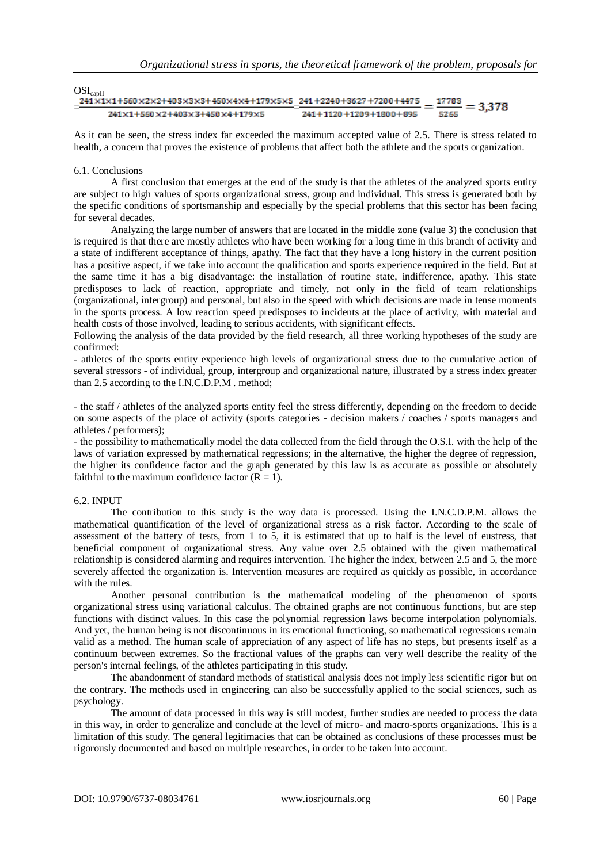| $OSI_{capII}$                                                              |                             |                    |
|----------------------------------------------------------------------------|-----------------------------|--------------------|
| 241 x1x1+560 x2x2+403x3x3+450x4x4+179x5x5 241 +2240+3627 +7200+4475        |                             | 17783<br>$= 3.378$ |
| $241 \times 1 + 560 \times 2 + 403 \times 3 + 450 \times 4 + 179 \times 5$ | _<br>241+1120+1209+1800+895 | 5265               |

As it can be seen, the stress index far exceeded the maximum accepted value of 2.5. There is stress related to health, a concern that proves the existence of problems that affect both the athlete and the sports organization.

### 6.1. Conclusions

A first conclusion that emerges at the end of the study is that the athletes of the analyzed sports entity are subject to high values of sports organizational stress, group and individual. This stress is generated both by the specific conditions of sportsmanship and especially by the special problems that this sector has been facing for several decades.

Analyzing the large number of answers that are located in the middle zone (value 3) the conclusion that is required is that there are mostly athletes who have been working for a long time in this branch of activity and a state of indifferent acceptance of things, apathy. The fact that they have a long history in the current position has a positive aspect, if we take into account the qualification and sports experience required in the field. But at the same time it has a big disadvantage: the installation of routine state, indifference, apathy. This state predisposes to lack of reaction, appropriate and timely, not only in the field of team relationships (organizational, intergroup) and personal, but also in the speed with which decisions are made in tense moments in the sports process. A low reaction speed predisposes to incidents at the place of activity, with material and health costs of those involved, leading to serious accidents, with significant effects.

Following the analysis of the data provided by the field research, all three working hypotheses of the study are confirmed:

- athletes of the sports entity experience high levels of organizational stress due to the cumulative action of several stressors - of individual, group, intergroup and organizational nature, illustrated by a stress index greater than 2.5 according to the I.N.C.D.P.M . method;

- the staff / athletes of the analyzed sports entity feel the stress differently, depending on the freedom to decide on some aspects of the place of activity (sports categories - decision makers / coaches / sports managers and athletes / performers);

- the possibility to mathematically model the data collected from the field through the O.S.I. with the help of the laws of variation expressed by mathematical regressions; in the alternative, the higher the degree of regression, the higher its confidence factor and the graph generated by this law is as accurate as possible or absolutely faithful to the maximum confidence factor  $(R = 1)$ .

#### 6.2. INPUT

The contribution to this study is the way data is processed. Using the I.N.C.D.P.M. allows the mathematical quantification of the level of organizational stress as a risk factor. According to the scale of assessment of the battery of tests, from 1 to 5, it is estimated that up to half is the level of eustress, that beneficial component of organizational stress. Any value over 2.5 obtained with the given mathematical relationship is considered alarming and requires intervention. The higher the index, between 2.5 and 5, the more severely affected the organization is. Intervention measures are required as quickly as possible, in accordance with the rules.

Another personal contribution is the mathematical modeling of the phenomenon of sports organizational stress using variational calculus. The obtained graphs are not continuous functions, but are step functions with distinct values. In this case the polynomial regression laws become interpolation polynomials. And yet, the human being is not discontinuous in its emotional functioning, so mathematical regressions remain valid as a method. The human scale of appreciation of any aspect of life has no steps, but presents itself as a continuum between extremes. So the fractional values of the graphs can very well describe the reality of the person's internal feelings, of the athletes participating in this study.

The abandonment of standard methods of statistical analysis does not imply less scientific rigor but on the contrary. The methods used in engineering can also be successfully applied to the social sciences, such as psychology.

The amount of data processed in this way is still modest, further studies are needed to process the data in this way, in order to generalize and conclude at the level of micro- and macro-sports organizations. This is a limitation of this study. The general legitimacies that can be obtained as conclusions of these processes must be rigorously documented and based on multiple researches, in order to be taken into account.